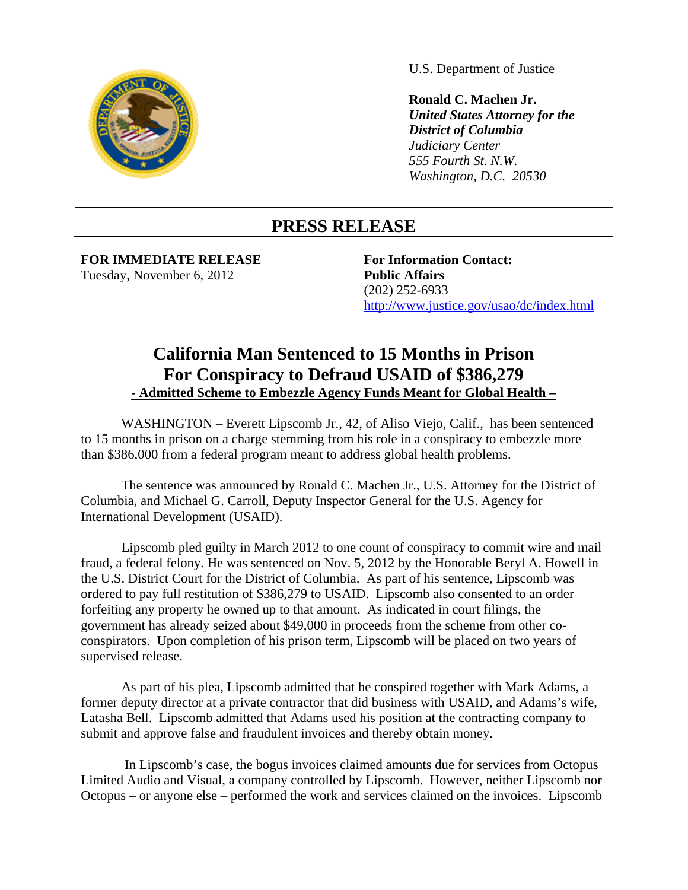

U.S. Department of Justice

**Ronald C. Machen Jr.**  *United States Attorney for the District of Columbia Judiciary Center 555 Fourth St. N.W. Washington, D.C. 20530* 

## **PRESS RELEASE**

**FOR IMMEDIATE RELEASE For Information Contact:** Tuesday, November 6, 2012

**Public Affairs** (202) 252-6933 http://www.justice.gov/usao/dc/index.html

## **California Man Sentenced to 15 Months in Prison For Conspiracy to Defraud USAID of \$386,279 - Admitted Scheme to Embezzle Agency Funds Meant for Global Health –**

WASHINGTON – Everett Lipscomb Jr., 42, of Aliso Viejo, Calif., has been sentenced to 15 months in prison on a charge stemming from his role in a conspiracy to embezzle more than \$386,000 from a federal program meant to address global health problems.

The sentence was announced by Ronald C. Machen Jr., U.S. Attorney for the District of Columbia, and Michael G. Carroll, Deputy Inspector General for the U.S. Agency for International Development (USAID).

Lipscomb pled guilty in March 2012 to one count of conspiracy to commit wire and mail fraud, a federal felony. He was sentenced on Nov. 5, 2012 by the Honorable Beryl A. Howell in the U.S. District Court for the District of Columbia. As part of his sentence, Lipscomb was ordered to pay full restitution of \$386,279 to USAID. Lipscomb also consented to an order forfeiting any property he owned up to that amount. As indicated in court filings, the government has already seized about \$49,000 in proceeds from the scheme from other coconspirators. Upon completion of his prison term, Lipscomb will be placed on two years of supervised release.

As part of his plea, Lipscomb admitted that he conspired together with Mark Adams, a former deputy director at a private contractor that did business with USAID, and Adams's wife, Latasha Bell. Lipscomb admitted that Adams used his position at the contracting company to submit and approve false and fraudulent invoices and thereby obtain money.

 In Lipscomb's case, the bogus invoices claimed amounts due for services from Octopus Limited Audio and Visual, a company controlled by Lipscomb. However, neither Lipscomb nor Octopus – or anyone else – performed the work and services claimed on the invoices. Lipscomb